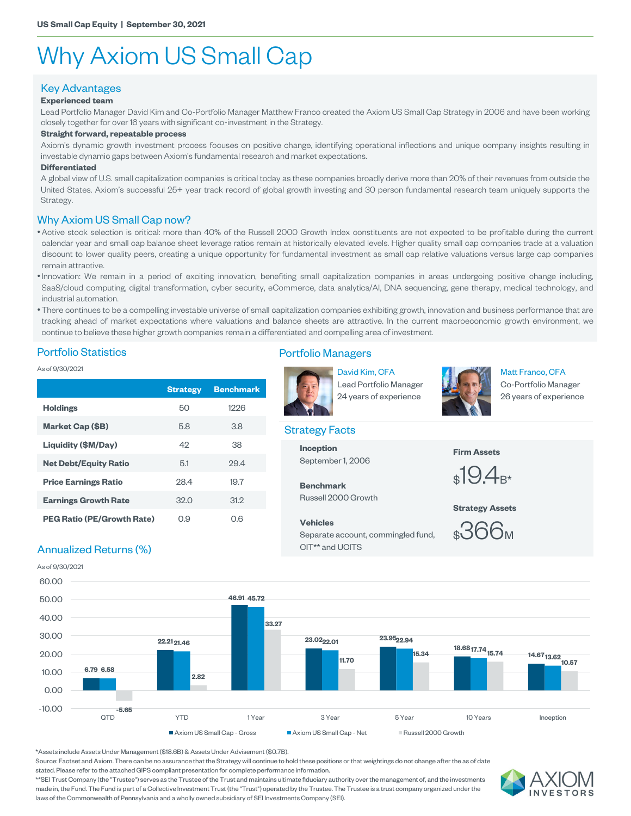# Why Axiom US Small Cap

## Key Advantages

### **Experienced team**

Lead Portfolio Manager David Kim and Co-Portfolio Manager Matthew Franco created the Axiom US Small Cap Strategy in 2006 and have been working closely together for over 16 years with significant co-investment in the Strategy.

#### **Straight forward, repeatable process**

Axiom's dynamic growth investment process focuses on positive change, identifying operational inflections and unique company insights resulting in investable dynamic gaps between Axiom's fundamental research and market expectations.

#### **Differentiated**

A global view of U.S. small capitalization companies is critical today as these companies broadly derive more than 20% of their revenues from outside the United States. Axiom's successful 25+ year track record of global growth investing and 30 person fundamental research team uniquely supports the Strategy.

#### Why Axiom US Small Cap now?

•Active stock selection is critical: more than 40% of the Russell 2000 Growth Index constituents are not expected to be profitable during the current calendar year and small cap balance sheet leverage ratios remain at historically elevated levels. Higher quality small cap companies trade at a valuation discount to lower quality peers, creating a unique opportunity for fundamental investment as small cap relative valuations versus large cap companies remain attractive.

- •Innovation: We remain in a period of exciting innovation, benefiting small capitalization companies in areas undergoing positive change including, SaaS/cloud computing, digital transformation, cyber security, eCommerce, data analytics/AI, DNA sequencing, gene therapy, medical technology, and industrial automation.
- •There continues to be a compelling investable universe of small capitalization companies exhibiting growth, innovation and business performance that are tracking ahead of market expectations where valuations and balance sheets are attractive. In the current macroeconomic growth environment, we continue to believe these higher growth companies remain a differentiated and compelling area of investment.

#### Portfolio Statistics

As of 9/30/2021

|                                   | <b>Strategy</b> | <b>Benchmark</b> | Lead Portfolio Manager<br>24 years of experience | Co-Portfolio Manager<br>26 years of experience |  |  |
|-----------------------------------|-----------------|------------------|--------------------------------------------------|------------------------------------------------|--|--|
| <b>Holdings</b>                   | 50              | 1226             |                                                  |                                                |  |  |
| Market Cap (\$B)                  | 5.8             | 3.8              | <b>Strategy Facts</b>                            |                                                |  |  |
| Liquidity (\$M/Day)               | 42              | 38               | <b>Inception</b>                                 | <b>Firm Assets</b><br>$_{\rm \$}19.4_{\rm B*}$ |  |  |
| <b>Net Debt/Equity Ratio</b>      | 5.1             | 29.4             | September 1, 2006                                |                                                |  |  |
| <b>Price Earnings Ratio</b>       | 28.4            | 19.7             | <b>Benchmark</b>                                 |                                                |  |  |
| <b>Earnings Growth Rate</b>       | 32.0            | 31.2             | Russell 2000 Growth                              | <b>Strategy Assets</b>                         |  |  |
| <b>PEG Ratio (PE/Growth Rate)</b> | O.9             | 0.6              | <b>Vehicles</b>                                  | りにん                                            |  |  |

## Portfolio Managers



David Kim, CFA Lead Portfolio Manager



Matt Franco, CFA Co-Portfolio Manager

#### Strategy Facts

### **Vehicles** Separate account, commingled fund, CIT\*\* and UCITS



## Annualized Returns (%)

As of 9/30/2021



\*Assets include Assets Under Management (\$18.6B) & Assets Under Advisement (\$0.7B).

Source: Factset and Axiom. There can be no assurance that the Strategy will continue to hold these positions or that weightings do not change after the as of date stated. Please refer to the attached GIPS compliant presentation for complete performance information.

\*\*SEI Trust Company (the "Trustee") serves as the Trustee of the Trust and maintains ultimate fiduciary authority over the management of, and the investments made in, the Fund. The Fund is part of a Collective Investment Trust (the "Trust") operated by the Trustee. The Trustee is a trust company organized under the laws of the Commonwealth of Pennsylvania and a wholly owned subsidiary of SEI Investments Company (SEI).